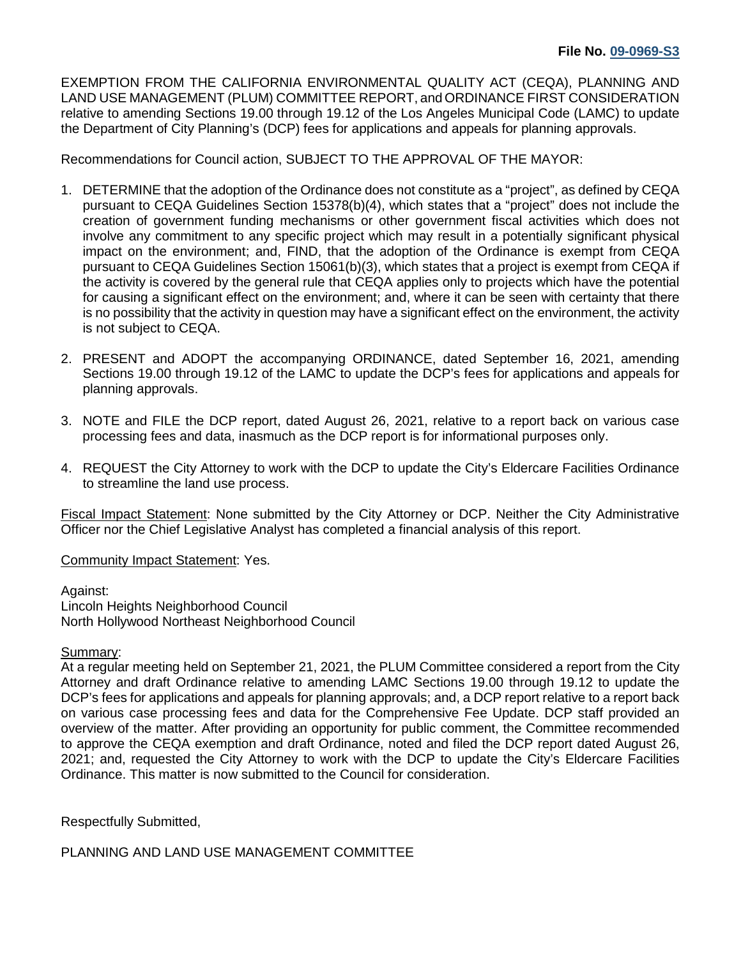EXEMPTION FROM THE CALIFORNIA ENVIRONMENTAL QUALITY ACT (CEQA), PLANNING AND LAND USE MANAGEMENT (PLUM) COMMITTEE REPORT, and ORDINANCE FIRST CONSIDERATION relative to amending Sections 19.00 through 19.12 of the Los Angeles Municipal Code (LAMC) to update the Department of City Planning's (DCP) fees for applications and appeals for planning approvals.

Recommendations for Council action, SUBJECT TO THE APPROVAL OF THE MAYOR:

- 1. DETERMINE that the adoption of the Ordinance does not constitute as a "project", as defined by CEQA pursuant to CEQA Guidelines Section 15378(b)(4), which states that a "project" does not include the creation of government funding mechanisms or other government fiscal activities which does not involve any commitment to any specific project which may result in a potentially significant physical impact on the environment; and, FIND, that the adoption of the Ordinance is exempt from CEQA pursuant to CEQA Guidelines Section 15061(b)(3), which states that a project is exempt from CEQA if the activity is covered by the general rule that CEQA applies only to projects which have the potential for causing a significant effect on the environment; and, where it can be seen with certainty that there is no possibility that the activity in question may have a significant effect on the environment, the activity is not subject to CEQA.
- 2. PRESENT and ADOPT the accompanying ORDINANCE, dated September 16, 2021, amending Sections 19.00 through 19.12 of the LAMC to update the DCP's fees for applications and appeals for planning approvals.
- 3. NOTE and FILE the DCP report, dated August 26, 2021, relative to a report back on various case processing fees and data, inasmuch as the DCP report is for informational purposes only.
- 4. REQUEST the City Attorney to work with the DCP to update the City's Eldercare Facilities Ordinance to streamline the land use process.

Fiscal Impact Statement: None submitted by the City Attorney or DCP. Neither the City Administrative Officer nor the Chief Legislative Analyst has completed a financial analysis of this report.

Community Impact Statement: Yes.

Against: Lincoln Heights Neighborhood Council North Hollywood Northeast Neighborhood Council

## Summary:

At a regular meeting held on September 21, 2021, the PLUM Committee considered a report from the City Attorney and draft Ordinance relative to amending LAMC Sections 19.00 through 19.12 to update the DCP's fees for applications and appeals for planning approvals; and, a DCP report relative to a report back on various case processing fees and data for the Comprehensive Fee Update. DCP staff provided an overview of the matter. After providing an opportunity for public comment, the Committee recommended to approve the CEQA exemption and draft Ordinance, noted and filed the DCP report dated August 26, 2021; and, requested the City Attorney to work with the DCP to update the City's Eldercare Facilities Ordinance. This matter is now submitted to the Council for consideration.

Respectfully Submitted,

PLANNING AND LAND USE MANAGEMENT COMMITTEE